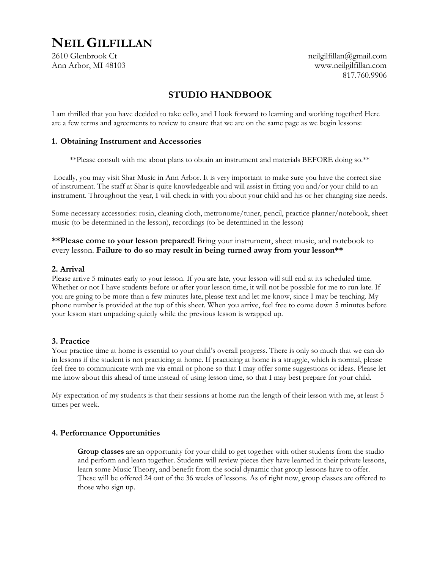# **NEIL GILFILLAN**

2610 Glenbrook Ct neilgilfillan@gmail.com Ann Arbor, MI 48103 www.neilgilfillan.com 817.760.9906

## **STUDIO HANDBOOK**

I am thrilled that you have decided to take cello, and I look forward to learning and working together! Here are a few terms and agreements to review to ensure that we are on the same page as we begin lessons:

### **1. Obtaining Instrument and Accessories**

\*\*Please consult with me about plans to obtain an instrument and materials BEFORE doing so.\*\*

Locally, you may visit Shar Music in Ann Arbor. It is very important to make sure you have the correct size of instrument. The staff at Shar is quite knowledgeable and will assist in fitting you and/or your child to an instrument. Throughout the year, I will check in with you about your child and his or her changing size needs.

Some necessary accessories: rosin, cleaning cloth, metronome/tuner, pencil, practice planner/notebook, sheet music (to be determined in the lesson), recordings (to be determined in the lesson)

**\*\*Please come to your lesson prepared!** Bring your instrument, sheet music, and notebook to every lesson. **Failure to do so may result in being turned away from your lesson\*\***

### **2. Arrival**

Please arrive 5 minutes early to your lesson. If you are late, your lesson will still end at its scheduled time. Whether or not I have students before or after your lesson time, it will not be possible for me to run late. If you are going to be more than a few minutes late, please text and let me know, since I may be teaching. My phone number is provided at the top of this sheet. When you arrive, feel free to come down 5 minutes before your lesson start unpacking quietly while the previous lesson is wrapped up.

### **3. Practice**

Your practice time at home is essential to your child's overall progress. There is only so much that we can do in lessons if the student is not practicing at home. If practicing at home is a struggle, which is normal, please feel free to communicate with me via email or phone so that I may offer some suggestions or ideas. Please let me know about this ahead of time instead of using lesson time, so that I may best prepare for your child.

My expectation of my students is that their sessions at home run the length of their lesson with me, at least 5 times per week.

### **4. Performance Opportunities**

**Group classes** are an opportunity for your child to get together with other students from the studio and perform and learn together. Students will review pieces they have learned in their private lessons, learn some Music Theory, and benefit from the social dynamic that group lessons have to offer. These will be offered 24 out of the 36 weeks of lessons. As of right now, group classes are offered to those who sign up.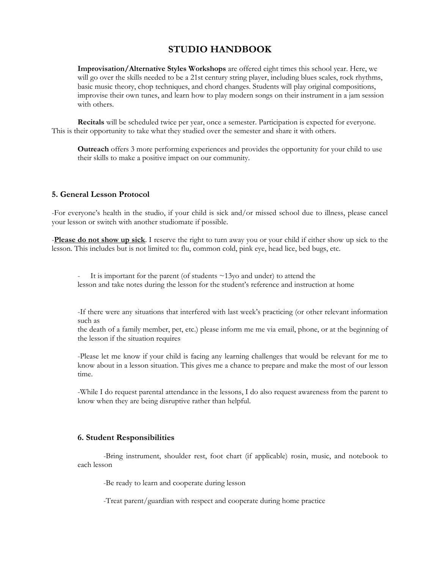### **STUDIO HANDBOOK**

**Improvisation/Alternative Styles Workshops** are offered eight times this school year. Here, we will go over the skills needed to be a 21st century string player, including blues scales, rock rhythms, basic music theory, chop techniques, and chord changes. Students will play original compositions, improvise their own tunes, and learn how to play modern songs on their instrument in a jam session with others.

**Recitals** will be scheduled twice per year, once a semester. Participation is expected for everyone. This is their opportunity to take what they studied over the semester and share it with others.

**Outreach** offers 3 more performing experiences and provides the opportunity for your child to use their skills to make a positive impact on our community.

### **5. General Lesson Protocol**

-For everyone's health in the studio, if your child is sick and/or missed school due to illness, please cancel your lesson or switch with another studiomate if possible.

-**Please do not show up sick**. I reserve the right to turn away you or your child if either show up sick to the lesson. This includes but is not limited to: flu, common cold, pink eye, head lice, bed bugs, etc.

It is important for the parent (of students  $\sim$ 13yo and under) to attend the lesson and take notes during the lesson for the student's reference and instruction at home

-If there were any situations that interfered with last week's practicing (or other relevant information such as

the death of a family member, pet, etc.) please inform me me via email, phone, or at the beginning of the lesson if the situation requires

-Please let me know if your child is facing any learning challenges that would be relevant for me to know about in a lesson situation. This gives me a chance to prepare and make the most of our lesson time.

-While I do request parental attendance in the lessons, I do also request awareness from the parent to know when they are being disruptive rather than helpful.

#### **6. Student Responsibilities**

-Bring instrument, shoulder rest, foot chart (if applicable) rosin, music, and notebook to each lesson

-Be ready to learn and cooperate during lesson

-Treat parent/guardian with respect and cooperate during home practice